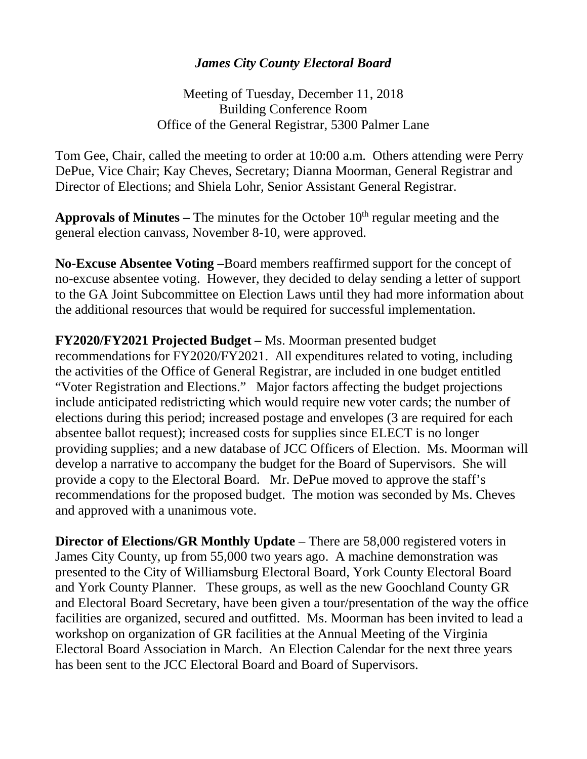## *James City County Electoral Board*

Meeting of Tuesday, December 11, 2018 Building Conference Room Office of the General Registrar, 5300 Palmer Lane

Tom Gee, Chair, called the meeting to order at 10:00 a.m. Others attending were Perry DePue, Vice Chair; Kay Cheves, Secretary; Dianna Moorman, General Registrar and Director of Elections; and Shiela Lohr, Senior Assistant General Registrar.

**Approvals of Minutes –** The minutes for the October 10th regular meeting and the general election canvass, November 8-10, were approved.

**No-Excuse Absentee Voting –**Board members reaffirmed support for the concept of no-excuse absentee voting. However, they decided to delay sending a letter of support to the GA Joint Subcommittee on Election Laws until they had more information about the additional resources that would be required for successful implementation.

**FY2020/FY2021 Projected Budget –** Ms. Moorman presented budget recommendations for FY2020/FY2021. All expenditures related to voting, including the activities of the Office of General Registrar, are included in one budget entitled "Voter Registration and Elections." Major factors affecting the budget projections include anticipated redistricting which would require new voter cards; the number of elections during this period; increased postage and envelopes (3 are required for each absentee ballot request); increased costs for supplies since ELECT is no longer providing supplies; and a new database of JCC Officers of Election. Ms. Moorman will develop a narrative to accompany the budget for the Board of Supervisors. She will provide a copy to the Electoral Board. Mr. DePue moved to approve the staff's recommendations for the proposed budget. The motion was seconded by Ms. Cheves and approved with a unanimous vote.

**Director of Elections/GR Monthly Update** – There are 58,000 registered voters in James City County, up from 55,000 two years ago. A machine demonstration was presented to the City of Williamsburg Electoral Board, York County Electoral Board and York County Planner. These groups, as well as the new Goochland County GR and Electoral Board Secretary, have been given a tour/presentation of the way the office facilities are organized, secured and outfitted. Ms. Moorman has been invited to lead a workshop on organization of GR facilities at the Annual Meeting of the Virginia Electoral Board Association in March. An Election Calendar for the next three years has been sent to the JCC Electoral Board and Board of Supervisors.